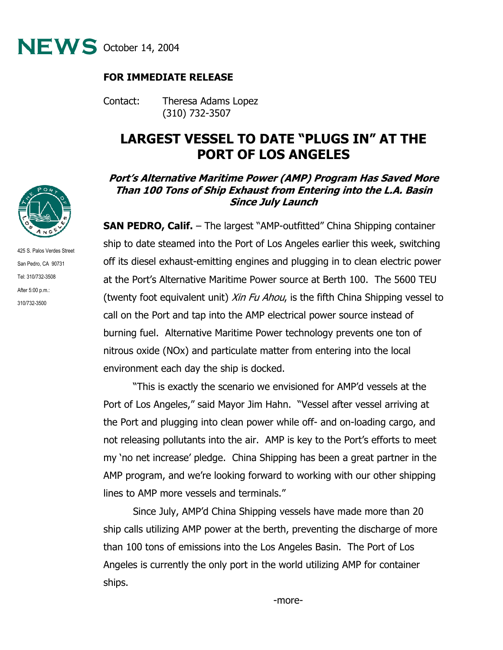

## **FOR IMMEDIATE RELEASE**

Contact: Theresa Adams Lopez (310) 732-3507

## **LARGEST VESSEL TO DATE "PLUGS IN" AT THE PORT OF LOS ANGELES**

## **Port's Alternative Maritime Power (AMP) Program Has Saved More Than 100 Tons of Ship Exhaust from Entering into the L.A. Basin Since July Launch**

**SAN PEDRO, Calif.** – The largest "AMP-outfitted" China Shipping container ship to date steamed into the Port of Los Angeles earlier this week, switching off its diesel exhaust-emitting engines and plugging in to clean electric power at the Port's Alternative Maritime Power source at Berth 100. The 5600 TEU (twenty foot equivalent unit) *Xin Fu Ahou*, is the fifth China Shipping vessel to call on the Port and tap into the AMP electrical power source instead of burning fuel. Alternative Maritime Power technology prevents one ton of nitrous oxide (NOx) and particulate matter from entering into the local environment each day the ship is docked.

"This is exactly the scenario we envisioned for AMP'd vessels at the Port of Los Angeles," said Mayor Jim Hahn. "Vessel after vessel arriving at the Port and plugging into clean power while off- and on-loading cargo, and not releasing pollutants into the air. AMP is key to the Port's efforts to meet my 'no net increase' pledge. China Shipping has been a great partner in the AMP program, and we're looking forward to working with our other shipping lines to AMP more vessels and terminals."

Since July, AMP'd China Shipping vessels have made more than 20 ship calls utilizing AMP power at the berth, preventing the discharge of more than 100 tons of emissions into the Los Angeles Basin. The Port of Los Angeles is currently the only port in the world utilizing AMP for container ships.



425 S. Palos Verdes Street San Pedro, CA 90731 Tel: 310/732-3508 After 5:00 p.m.: 310/732-3500